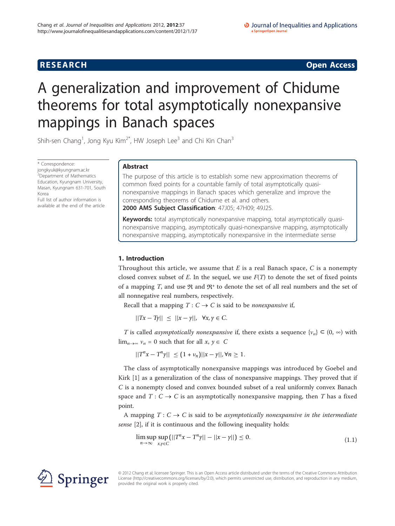**RESEARCH CONSTRUCTION CONSTRUCTS** 

# A generalization and improvement of Chidume theorems for total asymptotically nonexpansive mappings in Banach spaces

Shih-sen Chang<sup>1</sup>, Jong Kyu Kim<sup>2\*</sup>, HW Joseph Lee<sup>3</sup> and Chi Kin Chan<sup>3</sup>

\* Correspondence: [jongkyuk@kyungnam.ac.kr](mailto:jongkyuk@kyungnam.ac.kr) <sup>2</sup>Department of Mathematics Education, Kyungnam University, Masan, Kyungnam 631-701, South Korea

Full list of author information is available at the end of the article

# Abstract

The purpose of this article is to establish some new approximation theorems of common fixed points for a countable family of total asymptotically quasinonexpansive mappings in Banach spaces which generalize and improve the corresponding theorems of Chidume et al. and others.

2000 AMS Subject Classification: 47J05; 47H09; 49J25.

Keywords: total asymptotically nonexpansive mapping, total asymptotically quasinonexpansive mapping, asymptotically quasi-nonexpansive mapping, asymptotically nonexpansive mapping, asymptotically nonexpansive in the intermediate sense

# 1. Introduction

Throughout this article, we assume that  $E$  is a real Banach space,  $C$  is a nonempty closed convex subset of E. In the sequel, we use  $F(T)$  to denote the set of fixed points of a mapping T, and use  $\Re$  and  $\Re^+$  to denote the set of all real numbers and the set of all nonnegative real numbers, respectively.

Recall that a mapping  $T: C \to C$  is said to be *nonexpansive* if,

||*Tx* − *Ty*|| ≤ ||*x* − *y*||, ∀*x*, *y* ∈ *C*.

T is called *asymptotically nonexpansive* if, there exists a sequence  $\{v_n\} \subset (0, \infty)$  with  $\lim_{n\to\infty} v_n = 0$  such that for all  $x, y \in C$ 

 $||T^n x - T^n y||$  ≤  $(1 + v_n)||x - y||$ , ∀*n* ≥ 1.

The class of asymptotically nonexpansive mappings was introduced by Goebel and Kirk [[1\]](#page-8-0) as a generalization of the class of nonexpansive mappings. They proved that if C is a nonempty closed and convex bounded subset of a real uniformly convex Banach space and  $T: C \to C$  is an asymptotically nonexpansive mapping, then T has a fixed point.

A mapping  $T: C \to C$  is said to be asymptotically nonexpansive in the intermediate sense [\[2](#page-8-0)], if it is continuous and the following inequality holds:

$$
\limsup_{n \to \infty} \sup_{x, y \in C} (||T^n x - T^n y|| - ||x - y||) \le 0.
$$
\n(1.1)



© 2012 Chang et al; licensee Springer. This is an Open Access article distributed under the terms of the Creative Commons Attribution License [\(http://creativecommons.org/licenses/by/2.0](http://creativecommons.org/licenses/by/2.0)), which permits unrestricted use, distribution, and reproduction in any medium, provided the original work is properly cited.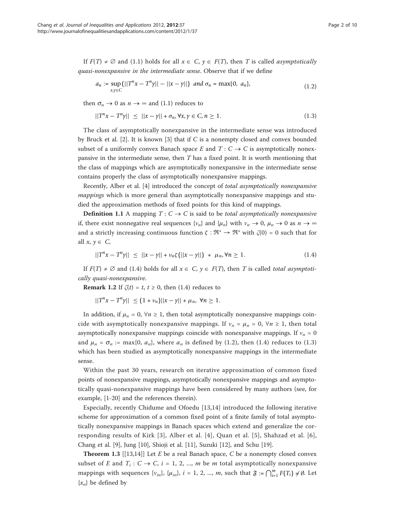If  $F(T) \neq \emptyset$  and (1.1) holds for all  $x \in C$ ,  $y \in F(T)$ , then T is called *asymptotically* quasi-nonexpansive in the intermediate sense. Observe that if we define

$$
a_n := \sup_{x,y \in C} (||T^n x - T^n y|| - ||x - y||) \text{ and } \sigma_n = \max\{0, a_n\},
$$
 (1.2)

then  $\sigma_n \to 0$  as  $n \to \infty$  and (1.1) reduces to

$$
||T^{n}x - T^{n}y|| \le ||x - y|| + \sigma_{n}, \forall x, y \in C, n \ge 1.
$$
 (1.3)

The class of asymptotically nonexpansive in the intermediate sense was introduced by Bruck et al. [\[2](#page-8-0)]. It is known [[3](#page-8-0)] that if C is a nonempty closed and convex bounded subset of a uniformly convex Banach space E and  $T: C \rightarrow C$  is asymptotically nonexpansive in the intermediate sense, then  $T$  has a fixed point. It is worth mentioning that the class of mappings which are asymptotically nonexpansive in the intermediate sense contains properly the class of asymptotically nonexpansive mappings.

Recently, Alber et al. [[4\]](#page-8-0) introduced the concept of total asymptotically nonexpansive *mappings* which is more general than asymptotically nonexpansive mappings and studied the approximation methods of fixed points for this kind of mappings.

**Definition 1.1** A mapping  $T: C \to C$  is said to be *total asymptotically nonexpansive* if, there exist nonnegative real sequences  $\{v_n\}$  and  $\{\mu_n\}$  with  $v_n \to 0$ ,  $\mu_n \to 0$  as  $n \to \infty$ and a strictly increasing continuous function  $\zeta : \mathfrak{R}^+ \to \mathfrak{R}^+$  with  $\zeta(0) = 0$  such that for all  $x, y \in C$ ,

$$
||T^{n}x - T^{n}y|| \le ||x - y|| + \nu_{n}\zeta(||x - y||) + \mu_{n}, \forall n \ge 1.
$$
 (1.4)

If  $F(T) \neq \emptyset$  and (1.4) holds for all  $x \in C$ ,  $y \in F(T)$ , then T is called total asymptotically quasi-nonexpansive.

**Remark 1.2** If  $\zeta(t) = t$ ,  $t \ge 0$ , then (1.4) reduces to

|| $T^n x - T^n y$ || ≤  $(1 + v_n)$ || $x - y$ || +  $\mu_n$ , ∀*n* ≥ 1.

In addition, if  $\mu_n = 0$ ,  $\forall n \ge 1$ , then total asymptotically nonexpansive mappings coincide with asymptotically nonexpansive mappings. If  $v_n = \mu_n = 0$ ,  $\forall n \ge 1$ , then total asymptotically nonexpansive mappings coincide with nonexpansive mappings. If  $v_n = 0$ and  $\mu_n = \sigma_n := \max\{0, a_n\}$ , where  $a_n$  is defined by (1.2), then (1.4) reduces to (1.3) which has been studied as asymptotically nonexpansive mappings in the intermediate sense.

Within the past 30 years, research on iterative approximation of common fixed points of nonexpansive mappings, asymptotically nonexpansive mappings and asymptotically quasi-nonexpansive mappings have been considered by many authors (see, for example, [[1](#page-8-0)[-20](#page-9-0)] and the references therein).

Especially, recently Chidume and Ofoedu [\[13](#page-8-0),[14\]](#page-9-0) introduced the following iterative scheme for approximation of a common fixed point of a finite family of total asymptotically nonexpansive mappings in Banach spaces which extend and generalize the corresponding results of Kirk [\[3\]](#page-8-0), Alber et al. [[4](#page-8-0)], Quan et al. [\[5\]](#page-8-0), Shahzad et al. [[6\]](#page-8-0), Chang et al. [\[9](#page-8-0)], Jung [[10](#page-8-0)], Shioji et al. [\[11](#page-8-0)], Suzuki [\[12](#page-8-0)], and Schu [\[19\]](#page-9-0).

**Theorem 1.3** [[[13](#page-8-0)[,14](#page-9-0)]] Let E be a real Banach space, C be a nonempty closed convex subset of E and  $T_i: C \to C$ ,  $i = 1, 2, ..., m$  be m total asymptotically nonexpansive mappings with sequences  $\{v_{in}\}\$ ,  $\{\mu_{in}\}\$ ,  $i = 1, 2, ..., m$ , such that  $\mathfrak{F} := \bigcap_{i=1}^{m} F(T_i) \neq \emptyset$ . Let  $\{x_n\}$  be defined by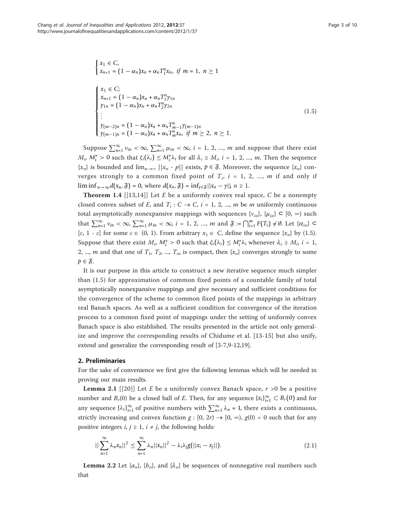$$
\begin{cases}\nx_1 \in C, \\
x_{n+1} = (1 - \alpha_n)x_n + \alpha_n T_1^n x_n, \text{ if } m = 1, n \ge 1\n\end{cases}
$$
\n
$$
\begin{cases}\nx_1 \in C; \\
x_{n+1} = (1 - \alpha_n)x_n + \alpha_n T_1^n y_{1n} \\
y_{1n} = (1 - \alpha_n)x_n + \alpha_n T_2^n y_{2n} \\
\vdots \\
y_{(m-2)n} = (1 - \alpha_n)x_n + \alpha_n T_{m-1}^n y_{(m-1)n} \\
y_{(m-1)n} = (1 - \alpha_n)x_n + \alpha_n T_m^n x_n, \text{ if } m \ge 2, n \ge 1.\n\end{cases}
$$
\n(1.5)

Suppose  $\sum_{n=1}^{\infty} v_{in} < \infty$ ,  $\sum_{n=1}^{\infty} \mu_{in} < \infty$ ,  $i = 1, 2, ..., m$  and suppose that there exist *M<sub>i</sub>*,  $M_i^* > 0$  such that  $\zeta_i(\lambda_i) \le M_i^* \lambda_i$  for all  $\lambda_i \ge M_i$ ,  $i = 1, 2, ..., m$ . Then the sequence  ${x_n}$  is bounded and  $\lim_{n\to\infty}$   $||x_n - p||$  exists,  $p \in \mathfrak{F}$ . Moreover, the sequence  ${x_n}$  converges strongly to a common fixed point of  $T_i$ ,  $i = 1, 2, ..., m$  if and only if lim inf  $_{n\to\infty}d(x_n,\mathfrak{F})=0$ , where  $d(x_n,\mathfrak{F})=\inf_{\gamma\in\mathfrak{F}}||x_n-\gamma||, n\geq 1$ .

**Theorem 1.4** [[[13](#page-8-0),[14\]](#page-9-0)] Let *E* be a uniformly convex real space, *C* be a nonempty closed convex subset of E, and  $T_i: C \to C$ ,  $i = 1, 2, ..., m$  be m uniformly continuous total asymptotically nonexpansive mappings with sequences  $\{v_{in}\}, \{\mu_{in}\} \subset [0, \infty)$  such that  $\sum_{n=1}^{\infty} v_{in} < \infty$ ,  $\sum_{n=1}^{\infty} \mu_{in} < \infty$ ,  $i = 1, 2, ..., m$  and  $\mathfrak{F} := \bigcap_{i=1}^{m} F(T_i) \neq \emptyset$ . Let  $\{\alpha_{in}\} \subset$ [ $\varepsilon$ , 1 -  $\varepsilon$ ] for some  $\varepsilon \in (0, 1)$ . From arbitrary  $x_1 \in C$ , define the sequence  $\{x_n\}$  by (1.5). Suppose that there exist  $M_i$ ,  $M_i^* > 0$  such that  $\zeta_i(\lambda_i) \le M_i^* \lambda_i$  whenever  $\lambda_i \ge M_i$ ,  $i = 1$ , 2, ..., *m* and that one of  $T_1$ ,  $T_2$ , ...,  $T_m$  is compact, then  $\{x_n\}$  converges strongly to some  $p \in \mathfrak{F}$ .

It is our purpose in this article to construct a new iterative sequence much simpler than (1.5) for approximation of common fixed points of a countable family of total asymptotically nonexpansive mappings and give necessary and sufficient conditions for the convergence of the scheme to common fixed points of the mappings in arbitrary real Banach spaces. As well as a sufficient condition for convergence of the iteration process to a common fixed point of mappings under the setting of uniformly convex Banach space is also established. The results presented in the article not only generalize and improve the corresponding results of Chidume et al. [\[13-](#page-8-0)[15](#page-9-0)] but also unify, extend and generalize the corresponding result of [\[3](#page-8-0)-[7,9-12,](#page-8-0)[19\]](#page-9-0).

### 2. Preliminaries

For the sake of convenience we first give the following lemmas which will be needed in proving our main results.

**Lemma 2.1** [[[20](#page-9-0)]] Let E be a uniformly convex Banach space,  $r > 0$  be a positive number and  $B_r(0)$  be a closed ball of E. Then, for any sequence  $\{x_i\}_{i=1}^{\infty} \subset B_r(0)$  and for any sequence  $\{\lambda_i\}_{i=1}^{\infty}$  of positive numbers with  $\sum_{n=1}^{\infty} \lambda_n = 1$ , there exists a continuous, strictly increasing and convex function  $g : [0, 2r) \rightarrow [0, \infty)$ ,  $g(0) = 0$  such that for any positive integers  $i, j \geq 1$ ,  $i \neq j$ , the following holds:

$$
||\sum_{n=1}^{\infty} \lambda_n x_n||^2 \leq \sum_{n=1}^{\infty} \lambda_n ||x_n||^2 - \lambda_i \lambda_j g(||x_i - x_j||). \tag{2.1}
$$

**Lemma 2.2** Let  $\{a_n\}$ ,  $\{b_n\}$ , and  $\{\lambda_n\}$  be sequences of nonnegative real numbers such that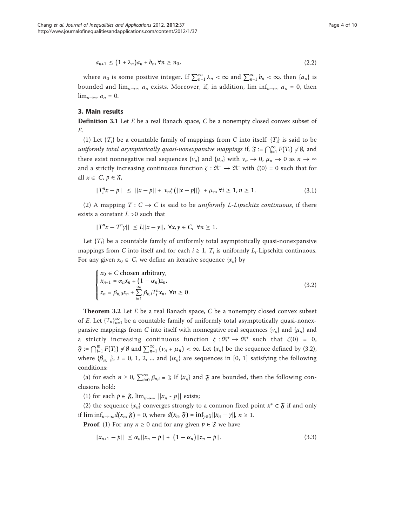$$
a_{n+1} \le (1+\lambda_n)a_n + b_n, \forall n \ge n_0,
$$
\n
$$
(2.2)
$$

where  $n_0$  is some positive integer. If  $\sum_{n=1}^{\infty} \lambda_n < \infty$  and  $\sum_{n=1}^{\infty} b_n < \infty$ , then  $\{a_n\}$  is bounded and  $\lim_{n\to\infty} a_n$  exists. Moreover, if, in addition,  $\liminf_{n\to\infty} a_n = 0$ , then  $\lim_{n\to\infty} a_n = 0.$ 

## 3. Main results

**Definition 3.1** Let  $E$  be a real Banach space,  $C$  be a nonempty closed convex subset of E.

(1) Let  $\{T_i\}$  be a countable family of mappings from C into itself.  $\{T_i\}$  is said to be *uniformly total asymptotically quasi-nonexpansive mappings if,*  $\mathfrak{F} := \bigcap_{i=1}^{\infty} F(T_i) \neq \emptyset$ , and there exist nonnegative real sequences  $\{v_n\}$  and  $\{\mu_n\}$  with  $v_n \to 0$ ,  $\mu_n \to 0$  as  $n \to \infty$ and a strictly increasing continuous function  $\zeta : \mathfrak{R}^+ \to \mathfrak{R}^+$  with  $\zeta(0) = 0$  such that for all  $x \in C$ ,  $p \in \mathfrak{F}$ ,

$$
||T_i^n x - p|| \le ||x - p|| + \nu_n \zeta (||x - p||) + \mu_n, \forall i \ge 1, n \ge 1.
$$
 (3.1)

(2) A mapping  $T: C \to C$  is said to be *uniformly L-Lipschitz continuous*, if there exists a constant  $L > 0$  such that

$$
||T^{n}x - T^{n}y|| \le L||x - y||, \forall x, y \in C, \forall n \ge 1.
$$

Let  ${T_i}$  be a countable family of uniformly total asymptotically quasi-nonexpansive mappings from C into itself and for each  $i \geq 1$ ,  $T_i$  is uniformly  $L_i$ -Lipschitz continuous. For any given  $x_0 \in C$ , we define an iterative sequence  $\{x_n\}$  by

$$
\begin{cases}\n x_0 \in C \text{ chosen arbitrary,} \\
 x_{n+1} = \alpha_n x_n + (1 - \alpha_n) z_n, \\
 z_n = \beta_{n,0} x_n + \sum_{i=1}^{\infty} \beta_{n,i} T_i^n x_n, \ \forall n \ge 0.\n\end{cases}
$$
\n(3.2)

**Theorem 3.2** Let  $E$  be a real Banach space,  $C$  be a nonempty closed convex subset of E. Let  ${T_n}_{n=1}^{\infty}$  be a countable family of uniformly total asymptotically quasi-nonexpansive mappings from C into itself with nonnegative real sequences  $\{v_n\}$  and  $\{\mu_n\}$  and a strictly increasing continuous function  $\zeta : \mathfrak{R}^+ \to \mathfrak{R}^+$  such that  $\zeta(0) = 0$ ,  $\mathfrak{F} := \bigcap_{i=1}^m F(T_i) \neq \emptyset$  and  $\sum_{n=1}^{\infty} (\nu_n + \mu_n) < \infty$ . Let  $\{x_n\}$  be the sequence defined by (3.2), where  $\{\beta_{n,i}\}\$ ,  $i = 0, 1, 2, \dots$  and  $\{\alpha_n\}$  are sequences in [0, 1] satisfying the following conditions:

(a) for each  $n \ge 0$ ,  $\sum_{i=0}^{\infty} \beta_{n,i} = 1$ ; If  $\{x_n\}$  and  $\mathfrak{F}$  are bounded, then the following conclusions hold:

(1) for each  $p \in \mathfrak{F}$ ,  $\lim_{n \to \infty} ||x_n - p||$  exists;

(2) the sequence  $\{x_n\}$  converges strongly to a common fixed point  $x^* \in \mathfrak{F}$  if and only if  $\liminf_{n\to\infty} d(x_n, \mathfrak{F}) = 0$ , where  $d(x_n, \mathfrak{F}) = \inf_{\gamma \in \mathfrak{F}} ||x_n - \gamma||, n \ge 1$ .

**Proof.** (1) For any  $n \ge 0$  and for any given  $p \in \mathfrak{F}$  we have

$$
||x_{n+1} - p|| \le \alpha_n ||x_n - p|| + (1 - \alpha_n) ||z_n - p||. \tag{3.3}
$$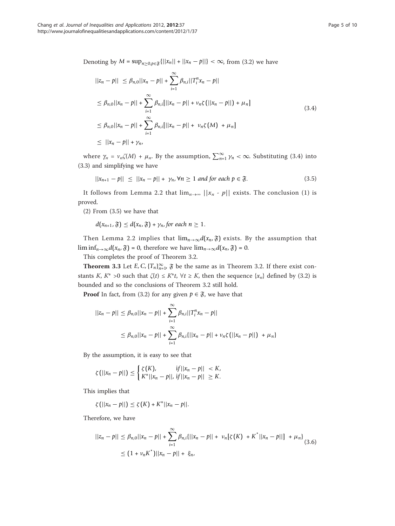Denoting by *M* = sup<sub>*n*≥0,*p*∈ξ{ $||x_n|| + ||x_n - p||$ } < ∞, from (3.2) we have</sub>

$$
||z_n - p|| \leq \beta_{n,0}||x_n - p|| + \sum_{i=1}^{\infty} \beta_{n,i}||T_i^n x_n - p||
$$
  
\n
$$
\leq \beta_{n,0}||x_n - p|| + \sum_{i=1}^{\infty} \beta_{n,i}[||x_n - p|| + \nu_n \zeta(||x_n - p||) + \mu_n]
$$
  
\n
$$
\leq \beta_{n,0}||x_n - p|| + \sum_{i=1}^{\infty} \beta_{n,i}[||x_n - p|| + \nu_n \zeta(M) + \mu_n]
$$
  
\n
$$
\leq ||x_n - p|| + \gamma_n,
$$
\n(3.4)

where  $\gamma_n = v_n \zeta(M) + \mu_n$ . By the assumption,  $\sum_{n=1}^{\infty} \gamma_n < \infty$ . Substituting (3.4) into (3.3) and simplifying we have

$$
||x_{n+1} - p|| \le ||x_n - p|| + \gamma_n, \forall n \ge 1 \text{ and for each } p \in \mathfrak{F}.
$$
 (3.5)

It follows from Lemma 2.2 that  $\lim_{n\to\infty}$   $||x_n - p||$  exists. The conclusion (1) is proved.

(2) From (3.5) we have that

 $d(x_{n+1}, \mathfrak{F}) \leq d(x_n, \mathfrak{F}) + \gamma_n$ , for each  $n \geq 1$ .

Then Lemma 2.2 implies that  $\lim_{n\to\infty} d(x_n, \mathfrak{F})$  exists. By the assumption that lim inf<sub>n→∞</sub> $d(x_n, \mathfrak{F}) = 0$ , therefore we have  $\lim_{n\to\infty} d(x_n, \mathfrak{F}) = 0$ .

This completes the proof of Theorem 3.2.

**Theorem 3.3** Let *E*, *C*,  $\{T_n\}_{n=1}^{\infty}$ ,  $\tilde{\mathbf{y}}$  be the same as in Theorem 3.2. If there exist constants K, K<sup>\*</sup> >0 such that  $\zeta(t) \leq K^*t$ ,  $\forall t \geq K$ , then the sequence  $\{x_n\}$  defined by (3.2) is bounded and so the conclusions of Theorem 3.2 still hold.

**Proof** In fact, from (3.2) for any given  $p \in \mathfrak{F}$ , we have that

$$
||z_n - p|| \leq \beta_{n,0}||x_n - p|| + \sum_{i=1}^{\infty} \beta_{n,i}||T_i^n x_n - p||
$$
  

$$
\leq \beta_{n,0}||x_n - p|| + \sum_{i=1}^{\infty} \beta_{n,i}||x_n - p|| + \nu_n \zeta(||x_n - p||) + \mu_n
$$

By the assumption, it is easy to see that

$$
\zeta(||x_n - p||) \le \begin{cases} \zeta(K), & \text{if } ||x_n - p|| < K, \\ K^*||x_n - p||, & \text{if } ||x_n - p|| \ge K. \end{cases}
$$

This implies that

$$
\zeta\big(||x_n-p||\big)\leq \zeta\big(K\big)+K^*\big||x_n-p|\big|.
$$

Therefore, we have

$$
||z_n - p|| \leq \beta_{n,0}||x_n - p|| + \sum_{i=1}^{\infty} \beta_{n,i}(||x_n - p|| + \nu_n[\zeta(K) + K^*||x_n - p||] + \mu_n)
$$
  
 
$$
\leq (1 + \nu_n K^*)||x_n - p|| + \xi_n,
$$
 (3.6)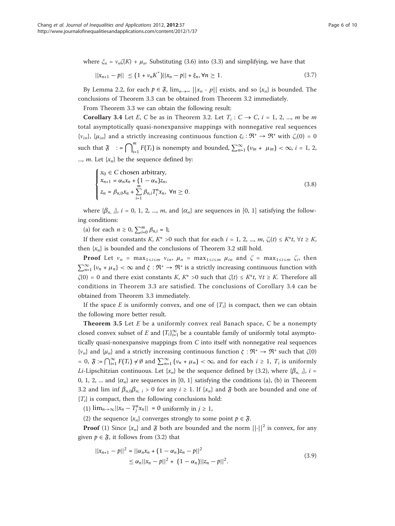where  $\zeta_n = v_n \zeta(K) + \mu_n$ . Substituting (3.6) into (3.3) and simplifying, we have that

$$
||x_{n+1} - p|| \le (1 + \nu_n K^*) ||x_n - p|| + \xi_n, \forall n \ge 1.
$$
\n(3.7)

By Lemma 2.2, for each  $p \in \mathfrak{F}$ ,  $\lim_{n \to \infty} ||x_n - p||$  exists, and so  $\{x_n\}$  is bounded. The conclusions of Theorem 3.3 can be obtained from Theorem 3.2 immediately.

From Theorem 3.3 we can obtain the following result:

**Corollary 3.4** Let E, C be as in Theorem 3.2. Let  $T_i$ :  $C \rightarrow C$ ,  $i = 1, 2, ..., m$  be m total asymptotically quasi-nonexpansive mappings with nonnegative real sequences { $v_{in}$ }, { $\mu_{in}$ } and a strictly increasing continuous function  $\zeta_i : \mathfrak{R}^+ \to \mathfrak{R}^+$  with  $\zeta_i(0) = 0$ such that  $\mathfrak{F}$  : =  $\bigcap_{i=1}^{m} F(T_i)$  is nonempty and bounded,  $\sum_{n=1}^{\infty} (v_{in} + \mu_{in}) < \infty$ , *i* = 1, 2, ..., *m*. Let  $\{x_n\}$  be the sequence defined by:

$$
\begin{cases}\n x_0 \in C \text{ chosen arbitrary,} \\
 x_{n+1} = \alpha_n x_n + (1 - \alpha_n) z_n, \\
 z_n = \beta_{n,0} x_n + \sum_{i=1}^m \beta_{n,i} T_i^n x_n, \ \forall n \ge 0.\n\end{cases}
$$
\n(3.8)

where  $\{\beta_{n,i}\}\$ ,  $i = 0, 1, 2, ..., m$ , and  $\{\alpha_n\}$  are sequences in [0, 1] satisfying the following conditions:

(a) for each  $n \ge 0$ ,  $\sum_{i=0}^{m} \beta_{n,i} = 1$ ;

If there exist constants K, K\* >0 such that for each  $i = 1, 2, ..., m$ ,  $\zeta_i(t) \le K^*t$ ,  $\forall t \ge K$ , then  $\{x_n\}$  is bounded and the conclusions of Theorem 3.2 still hold.

**Proof** Let  $v_n = \max_{1 \le i \le m} v_{in}$ ,  $\mu_n = \max_{1 \le i \le m} \mu_{in}$  and  $\zeta = \max_{1 \le i \le m} \zeta_i$ , then  $\sum_{n=1}^{\infty} \{v_n + \mu_n\} < \infty$  and  $\zeta : \Re^+ \to \Re^+$  is a strictly increasing continuous function with  $\zeta(0) = 0$  and there exist constants K, K\* >0 such that  $\zeta(t) \le K^*t$ ,  $\forall t \ge K$ . Therefore all conditions in Theorem 3.3 are satisfied. The conclusions of Corollary 3.4 can be obtained from Theorem 3.3 immediately.

If the space E is uniformly convex, and one of  $\{T_i\}$  is compact, then we can obtain the following more better result.

**Theorem 3.5** Let  $E$  be a uniformly convex real Banach space,  $C$  be a nonempty closed convex subset of E and  $\{T_i\}_{i=1}^{\infty}$  be a countable family of uniformly total asymptotically quasi-nonexpansive mappings from C into itself with nonnegative real sequences { $v_n$ } and { $\mu_n$ } and a strictly increasing continuous function  $\zeta : \mathfrak{R}^+ \to \mathfrak{R}^+$  such that  $\zeta(0)$ = 0,  $\mathfrak{F} := \bigcap_{i=1}^{\infty} F(T_i) \neq \emptyset$  and  $\sum_{n=1}^{\infty} (\nu_n + \mu_n) < \infty$ , and for each  $i \geq 1$ ,  $T_i$  is uniformly Li-Lipschitzian continuous. Let  $\{x_n\}$  be the sequence defined by (3.2), where  $\{\beta_{n,i}\}\$ ,  $i =$ 0, 1, 2, ... and  $\{\alpha_n\}$  are sequences in [0, 1] satisfying the conditions (a), (b) in Theorem 3.2 and lim inf  $\beta_{n,0}\beta_{n; i} > 0$  for any  $i \ge 1$ . If  $\{x_n\}$  and  $\mathfrak F$  both are bounded and one of  ${T<sub>i</sub>}$  is compact, then the following conclusions hold:

(1)  $\lim_{n\to\infty}$ || $x_n - T_j^n x_n$ || = 0 uniformly in *j* ≥ 1,

(2) the sequence  $\{x_n\}$  converges strongly to some point  $p \in \mathfrak{F}$ .

**Proof** (1) Since  $\{x_n\}$  and  $\mathfrak{F}$  both are bounded and the norm  $||\cdot||^2$  is convex, for any given  $p \in \mathfrak{F}$ , it follows from (3.2) that

$$
||x_{n+1} - p||^2 = ||\alpha_n x_n + (1 - \alpha_n)z_n - p||^2
$$
  
\n
$$
\leq \alpha_n ||x_n - p||^2 + (1 - \alpha_n) ||z_n - p||^2.
$$
\n(3.9)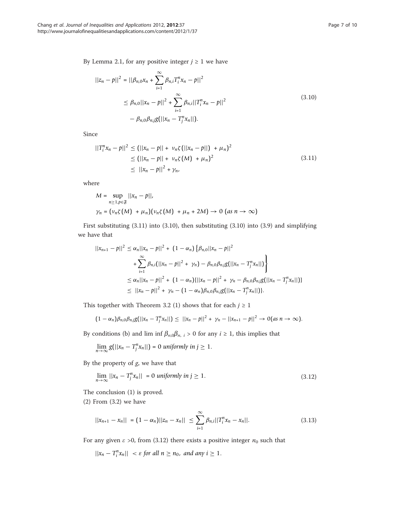By Lemma 2.1, for any positive integer  $j \geq 1$  we have

$$
||z_n - p||^2 = ||\beta_{n,0}x_n + \sum_{i=1}^{\infty} \beta_{n,i}T_i^n x_n - p||^2
$$
  
\n
$$
\leq \beta_{n,0}||x_n - p||^2 + \sum_{i=1}^{\infty} \beta_{n,i}||T_i^n x_n - p||^2
$$
  
\n
$$
- \beta_{n,0} \beta_{n,j}g(||x_n - T_j^n x_n||).
$$
\n(3.10)

Since

$$
||T_i^n x_n - p||^2 \le (||x_n - p|| + \nu_n \zeta (||x_n - p||) + \mu_n)^2
$$
  
\n
$$
\le (||x_n - p|| + \nu_n \zeta (M) + \mu_n)^2
$$
  
\n
$$
\le ||x_n - p||^2 + \gamma_n,
$$
\n(3.11)

where

$$
M = \sup_{n \ge 1, p \in \mathfrak{F}} ||x_n - p||,
$$
  

$$
\gamma_n = (\nu_n \zeta(M) + \mu_n)(\nu_n \zeta(M) + \mu_n + 2M) \to 0 \text{ (as } n \to \infty)
$$

First substituting (3.11) into (3.10), then substituting (3.10) into (3.9) and simplifying we have that

$$
||x_{n+1} - p||^2 \le \alpha_n ||x_n - p||^2 + (1 - \alpha_n) \{ \beta_{n,0} ||x_n - p||^2
$$
  
+  $\sum_{i=1}^{\infty} \beta_{n,i} (||x_n - p||^2 + \gamma_n) - \beta_{n,0} \beta_{n,j} g(||x_n - T_j^n x_n||)$   
 $\le \alpha_n ||x_n - p||^2 + (1 - \alpha_n) {||x_n - p||^2 + \gamma_n - \beta_{n,0} \beta_{n,j} g(||x_n - T_j^n x_n||)}$   
 $\le ||x_n - p||^2 + \gamma_n - (1 - \alpha_n) \beta_{n,0} \beta_{n,j} g(||x_n - T_j^n x_n||)).$ 

This together with Theorem 3.2 (1) shows that for each  $j \geq 1$ 

$$
(1 - \alpha_n)\beta_{n,0}\beta_{n,j}g(||x_n - T_j^nx_n||) \leq ||x_n - p||^2 + \gamma_n - ||x_{n+1} - p||^2 \to 0 \text{ (as } n \to \infty).
$$

By conditions (b) and lim inf  $\beta_{n,0}\beta_{n, i} > 0$  for any  $i \ge 1$ , this implies that

$$
\lim_{n\to\infty}g(||x_n-T_j^nx_n||)=0
$$
 uniformly in  $j\geq 1$ .

By the property of  $g$ , we have that

$$
\lim_{n \to \infty} ||x_n - T_j^n x_n|| = 0 \text{ uniformly in } j \ge 1. \tag{3.12}
$$

The conclusion (1) is proved.

(2) From (3.2) we have

$$
||x_{n+1} - x_n|| = (1 - \alpha_n) ||z_n - x_n|| \le \sum_{i=1}^{\infty} \beta_{n,i} ||T_i^n x_n - x_n||. \tag{3.13}
$$

For any given  $\varepsilon > 0$ , from (3.12) there exists a positive integer  $n_0$  such that

 $||x_n - T_i^n x_n|| < \varepsilon$  *for all*  $n \ge n_0$ , *and any*  $i \ge 1$ .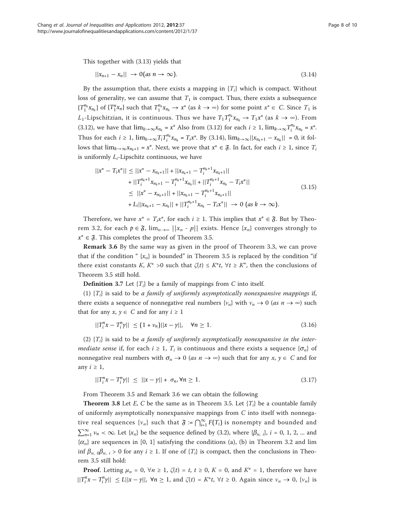This together with (3.13) yields that

$$
||x_{n+1} - x_n|| \rightarrow 0 \text{ (as } n \rightarrow \infty\text{)}.
$$
 (3.14)

By the assumption that, there exists a mapping in  ${T_i}$  which is compact. Without loss of generality, we can assume that  $T_1$  is compact. Thus, there exists a subsequence  ${T_1^{n_k}} x_{n_k}$  of  ${T_1^n} x_n$  such that  $T_1^{n_k} x_{n_k} \to x^*$  (as  $k \to \infty$ ) for some point  $x^* \in C$ . Since  $T_1$  is  $L_1$ -Lipschitzian, it is continuous. Thus we have  $T_1 T_1^{n_k} x_{n_k} \to T_1 x^*$  (as  $k \to \infty$ ). From (3.12), we have that  $\lim_{k\to\infty} x_{n_k} = x^*$  Also from (3.12) for each  $i \ge 1$ ,  $\lim_{k\to\infty} T_i^{n_k} x_{n_k} = x^*$ . Thus for each  $i \ge 1$ ,  $\lim_{k \to \infty} T_i T_i^{n_k} x_{n_k} = T_i x^*$ . By (3.14),  $\lim_{k \to \infty} ||x_{n_k+1} - x_{n_k}|| = 0$ , it follows that  $\lim_{k\to\infty} x_{n_k+1} = x^*$ . Next, we prove that  $x^* \in \mathfrak{F}$ . In fact, for each  $i \geq 1$ , since  $T_i$ is uniformly  $L_i$ -Lipschitz continuous, we have

$$
||x^* - T_i x^*|| \le ||x^* - x_{n_k+1}|| + ||x_{n_k+1} - T_i^{n_k+1} x_{n_k+1}||
$$
  
+ 
$$
||T_i^{n_k+1} x_{n_k+1} - T_i^{n_k+1} x_{n_k}|| + ||T_i^{n_k+1} x_{n_k} - T_i x^*||
$$
  

$$
\le ||x^* - x_{n_k+1}|| + ||x_{n_k+1} - T_i^{n_k+1} x_{n_k+1}||
$$
  
+ 
$$
L_i ||x_{n_k+1} - x_{n_k}|| + ||T_i^{n_k+1} x_{n_k} - T_i x^*|| \to 0 \text{ (as } k \to \infty).
$$
 (3.15)

Therefore, we have  $x^* = T_i x^*$ , for each  $i \ge 1$ . This implies that  $x^* \in \mathfrak{F}$ . But by Theorem 3.2, for each  $p \in \mathfrak{F}$ ,  $\lim_{n \to \infty} ||x_n - p||$  exists. Hence  $\{x_n\}$  converges strongly to  $x^*$  ∈  $\mathfrak{F}$ . This completes the proof of Theorem 3.5.

Remark 3.6 By the same way as given in the proof of Theorem 3.3, we can prove that if the condition "  $\{x_n\}$  is bounded" in Theorem 3.5 is replaced by the condition "if there exist constants K,  $K^* > 0$  such that  $\zeta(t) \leq K^*t$ ,  $\forall t \geq K^*$ , then the conclusions of Theorem 3.5 still hold.

**Definition 3.7** Let  $\{T_i\}$  be a family of mappings from C into itself.

(1)  ${T_i}$  is said to be a family of uniformly asymptotically nonexpansive mappings if, there exists a sequence of nonnegative real numbers  $\{v_n\}$  with  $v_n \to 0$  (as  $n \to \infty$ ) such that for any  $x, y \in C$  and for any  $i \ge 1$ 

$$
||T_i^n x - T_i^n y|| \le (1 + \nu_n) ||x - y||, \quad \forall n \ge 1.
$$
\n(3.16)

(2)  ${T_i}$  is said to be a family of uniformly asymptotically nonexpansive in the inter*mediate sense* if, for each  $i \ge 1$ ,  $T_i$  is continuous and there exists a sequence  $\{\sigma_n\}$  of nonnegative real numbers with  $\sigma_n \to 0$  (*as n*  $\to \infty$ ) such that for any *x*, *y*  $\in$  *C* and for any  $i \geq 1$ ,

$$
||T_i^n x - T_i^n y|| \le ||x - y|| + \sigma_n, \forall n \ge 1.
$$
\n(3.17)

From Theorem 3.5 and Remark 3.6 we can obtain the following

**Theorem 3.8** Let E, C be the same as in Theorem 3.5. Let  $\{T_i\}$  be a countable family of uniformly asymptotically nonexpansive mappings from C into itself with nonnegative real sequences  $\{v_n\}$  such that  $\mathfrak{F} := \bigcap_{i=1}^{\infty} F(T_i)$  is nonempty and bounded and  $\sum_{n=1}^{\infty} v_n < \infty$ . Let  $\{x_n\}$  be the sequence defined by (3.2), where  $\{\beta_{n, i}\}\$ ,  $i = 0, 1, 2, ...$  and  $\{\alpha_n\}$  are sequences in [0, 1] satisfying the conditions (a), (b) in Theorem 3.2 and lim inf  $\beta_{n,0}\beta_{n,i} > 0$  for any  $i \ge 1$ . If one of  $\{T_i\}$  is compact, then the conclusions in Theorem 3.5 still hold:

**Proof.** Letting  $\mu_n = 0$ ,  $\forall n \ge 1$ ,  $\zeta(t) = t$ ,  $t \ge 0$ ,  $K = 0$ , and  $K^* = 1$ , therefore we have  $||T_i^n x - T_i^n y|| \le L||x - y||$ ,  $\forall n \ge 1$ , and  $\zeta(t) = K^* t$ ,  $\forall t \ge 0$ . Again since  $v_n \to 0$ ,  $\{v_n\}$  is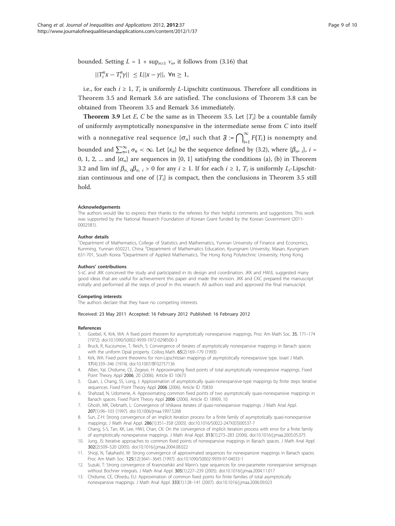<span id="page-8-0"></span>bounded. Setting  $L = 1 + \sup_{n \geq 1} v_n$  it follows from (3.16) that

$$
||T_i^n x - T_i^n y|| \le L||x - y||, \forall n \ge 1,
$$

i.e., for each  $i \geq 1$ ,  $T_i$  is uniformly L-Lipschitz continuous. Therefore all conditions in Theorem 3.5 and Remark 3.6 are satisfied. The conclusions of Theorem 3.8 can be obtained from Theorem 3.5 and Remark 3.6 immediately.

**Theorem 3.9** Let E, C be the same as in Theorem 3.5. Let  $\{T_i\}$  be a countable family of uniformly asymptotically nonexpansive in the intermediate sense from C into itself with a nonnegative real sequence  $\{\sigma_n\}$  such that  $\mathfrak{F} := \bigcap_{i=1}^{\infty} F(T_i)$  is nonempty and bounded and  $\sum_{n=1}^{\infty} \sigma_n < \infty$ . Let  $\{x_n\}$  be the sequence defined by (3.2), where  $\{\beta_m, i\}$ ,  $i =$ 0, 1, 2, ... and  $\{\alpha_n\}$  are sequences in [0, 1] satisfying the conditions (a), (b) in Theorem 3.2 and lim inf  $\beta_{n}$ ,  $\beta_{n}$ ,  $i > 0$  for any  $i \ge 1$ . If for each  $i \ge 1$ ,  $T_i$  is uniformly  $L_i$ -Lipschitzian continuous and one of  $\{T_i\}$  is compact, then the conclusions in Theorem 3.5 still hold.

#### Acknowledgements

The authors would like to express their thanks to the referees for their helpful comments and suggestions. This work was supported by the National Research Foundation of Korean Grant funded by the Korean Government (2011- 0002581).

#### Author details

<sup>1</sup>Department of Mathematics, College of Statistics and Mathematics, Yunnan University of Finance and Economics, Kunming, Yunnan 650221, China <sup>2</sup>Department of Mathematics Education, Kyungnam University, Masan, Kyungnam 631-701, South Korea <sup>3</sup>Department of Applied Mathematics, The Hong Kong Polytechnic University, Hong Kong

#### Authors' contributions

S-sC and JKK conceived the study and participated in its design and coordination. JKK and HWJL suggested many good ideas that are useful for achievement this paper and made the revision. JKK and CKC prepared the manuscript initially and performed all the steps of proof in this research. All authors read and approved the final manuscript.

#### Competing interests

The authors declare that they have no competing interests.

#### Received: 23 May 2011 Accepted: 16 February 2012 Published: 16 February 2012

#### References

- 1. Goebel, K, Kirk, WA: A fixed point theorem for asymptotically nonexpansive mappings. Proc Am Math Soc. 35, 171–174 (1972). doi:10.1090/S0002-9939-1972-0298500-3
- 2. Bruck, R, Kuczumow, T, Reich, S: Convergence of iterates of asymptotically nonexpansive mappings in Banach spaces with the uniform Opial property. Colloq Math. 65(2):169–179 (1993)
- 3. Kirk, WA: Fixed point theorems for non-Lipschitzian mappings of asymptotically nonexpansive type. Israel J Math. 17(4):339–346 (1974). doi:10.1007/BF02757136
- Alber, YaI, Chidume, CE, Zegeye, H: Approximating fixed points of total asymptotically nonexpansive mappings. Fixed Point Theory Appl 2006, 20 (2006). Article ID 10673
- Quan, J, Chang, SS, Long, J: Approximation of asymptotically quasi-nonexpansive-type mappings by finite steps iterative sequences. Fixed Point Theory Appl 2006 (2006). Article ID 70830
- 6. Shahzad, N, Udomene, A: Approximating common fixed points of two asymptotically quasi-nonexpansive mappings in Banach spaces. Fixed Point Theory Appl 2006 (2006). Article ID 18909, 10
- 7. Ghosh, MK, Debnath, L: Convergence of Ishikawa iterates of quasi-nonexpansive mappings. J Math Anal Appl. 207(1):96–103 (1997). doi:10.1006/jmaa.1997.5268
- Sun, Z-H: Strong convergence of an implicit iteration process for a finite family of asymptotically quasi-nonexpansive mappings. J Math Anal Appl. 286(1):351–358 (2003). doi:10.1016/S0022-247X(03)00537-7
- 9. Chang, S-S, Tan, KK, Lee, HWJ, Chan, CK: On the convergence of implicit iteration process with error for a finite family of asymptotically nonexpansive mappings. J Math Anal Appl. 313(1):273–283 (2006). doi:10.1016/j.jmaa.2005.05.075
- 10. Jung, JS: Iterative approaches to common fixed points of nonexpansive mappings in Banach spaces. J Math Anal Appl. 302(2):509–520 (2005). doi:10.1016/j.jmaa.2004.08.022
- 11. Shioji, N, Takahashi, W: Strong convergence of approximated sequences for nonexpansive mappings in Banach spaces. Proc Am Math Soc. 125(12):3641–3645 (1997). doi:10.1090/S0002-9939-97-04033-1
- 12. Suzuki, T: Strong convergence of Krasnoselskii and Mann's type sequences for one-parameter nonexpansive semigroups without Bochner integrals. J Math Anal Appl. 305(1):227–239 (2005). doi:10.1016/j.jmaa.2004.11.017
- 13. Chidume, CE, Ofoedu, EU: Approximation of common fixed points for finite families of total asymptotically nonexpansive mappings. J Math Anal Appl. 333(1):128–141 (2007). doi:10.1016/j.jmaa.2006.09.023